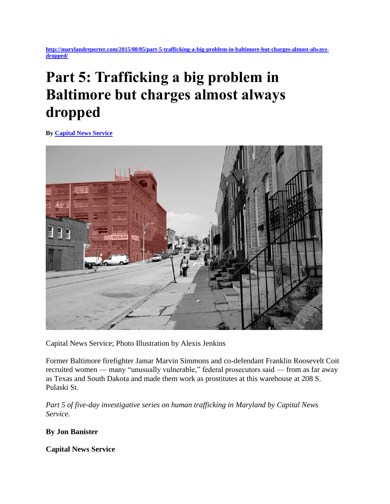**[http://marylandreporter.com/2015/08/05/part-5-trafficking-a-big-problem-in-baltimore-but-charges-almost-always](http://marylandreporter.com/2015/08/05/part-5-trafficking-a-big-problem-in-baltimore-but-charges-almost-always-dropped/)[dropped/](http://marylandreporter.com/2015/08/05/part-5-trafficking-a-big-problem-in-baltimore-but-charges-almost-always-dropped/)**

# **Part 5: Trafficking a big problem in Baltimore but charges almost always dropped**

**By [Capital News Service](http://marylandreporter.com/author/capital-news-service/)**



Capital News Service; Photo Illustration by Alexis Jenkins

Former Baltimore firefighter Jamar Marvin Simmons and co-defendant Franklin Roosevelt Coit recruited women — many "unusually vulnerable," federal prosecutors said — from as far away as Texas and South Dakota and made them work as prostitutes at this warehouse at 208 S. Pulaski St.

*Part 5 of five-day investigative series on human trafficking in Maryland by Capital News Service.* 

**By Jon Banister**

**Capital News Service**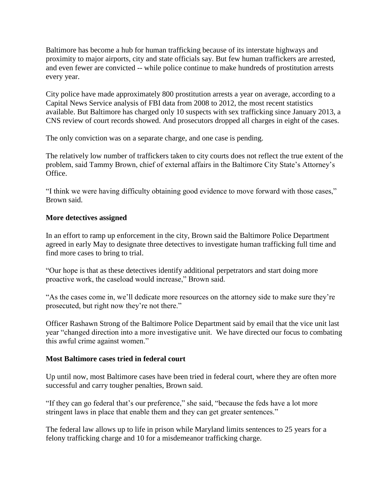Baltimore has become a hub for human trafficking because of its interstate highways and proximity to major airports, city and state officials say. But few human traffickers are arrested, and even fewer are convicted -- while police continue to make hundreds of prostitution arrests every year.

City police have made approximately 800 prostitution arrests a year on average, according to a Capital News Service analysis of FBI data from 2008 to 2012, the most recent statistics available. But Baltimore has charged only 10 suspects with sex trafficking since January 2013, a CNS review of court records showed. And prosecutors dropped all charges in eight of the cases.

The only conviction was on a separate charge, and one case is pending.

The relatively low number of traffickers taken to city courts does not reflect the true extent of the problem, said Tammy Brown, chief of external affairs in the Baltimore City State's Attorney's Office.

"I think we were having difficulty obtaining good evidence to move forward with those cases," Brown said.

### **More detectives assigned**

In an effort to ramp up enforcement in the city, Brown said the Baltimore Police Department agreed in early May to designate three detectives to investigate human trafficking full time and find more cases to bring to trial.

"Our hope is that as these detectives identify additional perpetrators and start doing more proactive work, the caseload would increase," Brown said.

"As the cases come in, we'll dedicate more resources on the attorney side to make sure they're prosecuted, but right now they're not there."

Officer Rashawn Strong of the Baltimore Police Department said by email that the vice unit last year "changed direction into a more investigative unit. We have directed our focus to combating this awful crime against women."

#### **Most Baltimore cases tried in federal court**

Up until now, most Baltimore cases have been tried in federal court, where they are often more successful and carry tougher penalties, Brown said.

"If they can go federal that's our preference," she said, "because the feds have a lot more stringent laws in place that enable them and they can get greater sentences."

The federal law allows up to life in prison while Maryland limits sentences to 25 years for a felony trafficking charge and 10 for a misdemeanor trafficking charge.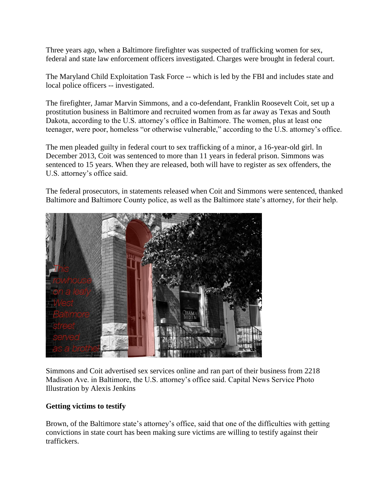Three years ago, when a Baltimore firefighter was suspected of trafficking women for sex, federal and state law enforcement officers investigated. Charges were brought in federal court.

The Maryland Child Exploitation Task Force -- which is led by the FBI and includes state and local police officers -- investigated.

The firefighter, Jamar Marvin Simmons, and a co-defendant, Franklin Roosevelt Coit, set up a prostitution business in Baltimore and recruited women from as far away as Texas and South Dakota, according to the U.S. attorney's office in Baltimore. The women, plus at least one teenager, were poor, homeless "or otherwise vulnerable," according to the U.S. attorney's office.

The men pleaded guilty in federal court to sex trafficking of a minor, a 16-year-old girl. In December 2013, Coit was sentenced to more than 11 years in federal prison. Simmons was sentenced to 15 years. When they are released, both will have to register as sex offenders, the U.S. attorney's office said.

The federal prosecutors, in statements released when Coit and Simmons were sentenced, thanked Baltimore and Baltimore County police, as well as the Baltimore state's attorney, for their help.



Simmons and Coit advertised sex services online and ran part of their business from 2218 Madison Ave. in Baltimore, the U.S. attorney's office said. Capital News Service Photo Illustration by Alexis Jenkins

## **Getting victims to testify**

Brown, of the Baltimore state's attorney's office, said that one of the difficulties with getting convictions in state court has been making sure victims are willing to testify against their traffickers.